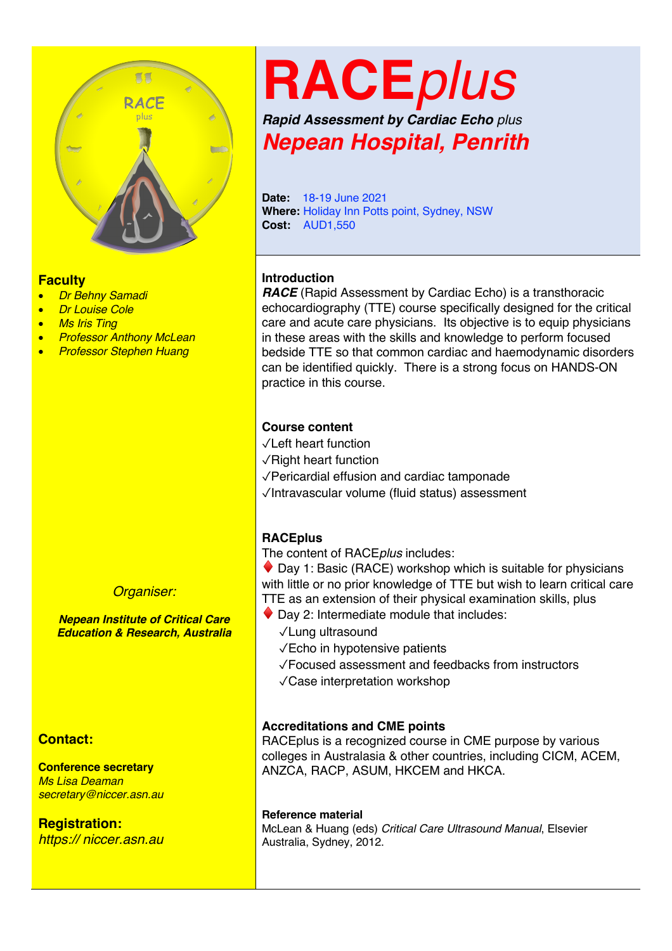

#### **Faculty**

- *Dr Behny Samadi*
- *Dr Louise Cole*
- *Ms Iris Ting*
- *Professor Anthony McLean*
- *Professor Stephen Huang*

#### *Organiser:*

*Nepean Institute of Critical Care Education & Research, Australia*

#### **Contact:**

**Conference secretary** *Ms Lisa Deaman secretary@niccer.asn.au*

**Registration:** *https:// niccer.asn.au*

## **RACE***plus*

*Rapid Assessment by Cardiac Echo plus Nepean Hospital, Penrith*

**Date:** 18-19 June 2021 **Where:** Holiday Inn Potts point, Sydney, NSW **Cost:** AUD1,550

#### **Introduction**

*RACE* (Rapid Assessment by Cardiac Echo) is a transthoracic echocardiography (TTE) course specifically designed for the critical care and acute care physicians. Its objective is to equip physicians in these areas with the skills and knowledge to perform focused bedside TTE so that common cardiac and haemodynamic disorders can be identified quickly. There is a strong focus on HANDS-ON practice in this course.

#### **Course content**

- ✓Left heart function
- ✓Right heart function
- ✓Pericardial effusion and cardiac tamponade
- ✓Intravascular volume (fluid status) assessment

#### **RACEplus**

The content of RACE*plus* includes:

 $\bullet$  Day 1: Basic (RACE) workshop which is suitable for physicians with little or no prior knowledge of TTE but wish to learn critical care TTE as an extension of their physical examination skills, plus

- $\blacklozenge$  Day 2: Intermediate module that includes:
	- ✓Lung ultrasound
	- ✓Echo in hypotensive patients
	- ✓Focused assessment and feedbacks from instructors
	- ✓Case interpretation workshop

#### **Accreditations and CME points**

RACEplus is a recognized course in CME purpose by various colleges in Australasia & other countries, including CICM, ACEM, ANZCA, RACP, ASUM, HKCEM and HKCA.

#### **Reference material**

McLean & Huang (eds) *Critical Care Ultrasound Manual*, Elsevier Australia, Sydney, 2012.